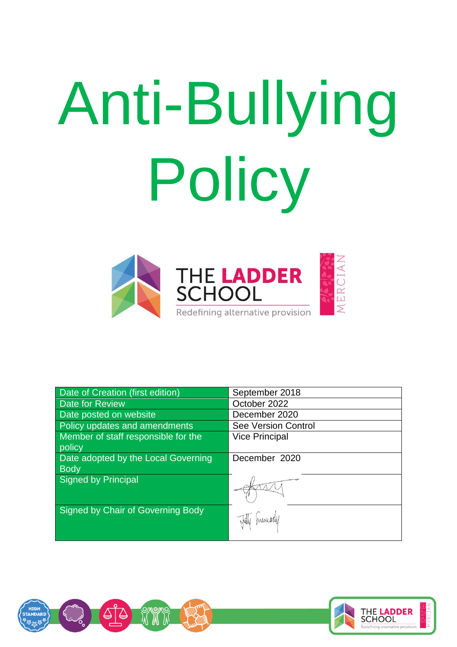# Anti-Bullying Policy



| <b>Date of Creation (first edition)</b> | September 2018             |
|-----------------------------------------|----------------------------|
| <b>Date for Review</b>                  | October 2022               |
| Date posted on website                  | December 2020              |
| Policy updates and amendments           | <b>See Version Control</b> |
| Member of staff responsible for the     | <b>Vice Principal</b>      |
| policy                                  |                            |
| Date adopted by the Local Governing     | December 2020              |
| <b>Body</b>                             |                            |
| Signed by Principal                     |                            |
|                                         |                            |
| Signed by Chair of Governing Body       |                            |
|                                         | <i>Munikely</i>            |



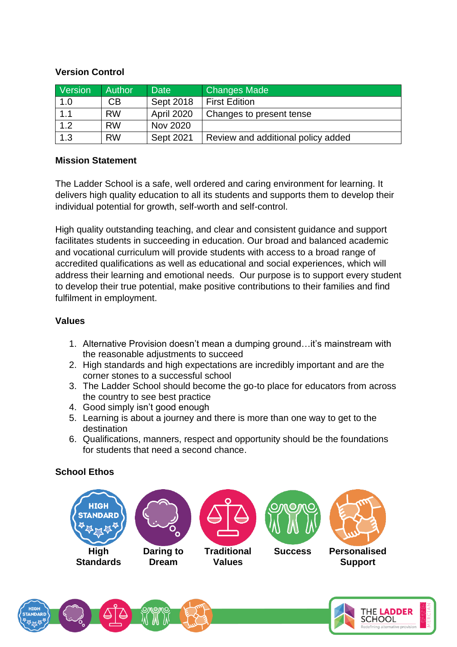### **Version Control**

| Version | <b>Author</b> | <b>Date</b>       | <b>Changes Made</b>                |
|---------|---------------|-------------------|------------------------------------|
| 1.0     | СB            | Sept 2018         | <b>First Edition</b>               |
| 1.1     | <b>RW</b>     | <b>April 2020</b> | Changes to present tense           |
| 1.2     | <b>RW</b>     | Nov 2020          |                                    |
| 1.3     | <b>RW</b>     | Sept 2021         | Review and additional policy added |

#### **Mission Statement**

The Ladder School is a safe, well ordered and caring environment for learning. It delivers high quality education to all its students and supports them to develop their individual potential for growth, self-worth and self-control.

High quality outstanding teaching, and clear and consistent guidance and support facilitates students in succeeding in education. Our broad and balanced academic and vocational curriculum will provide students with access to a broad range of accredited qualifications as well as educational and social experiences, which will address their learning and emotional needs. Our purpose is to support every student to develop their true potential, make positive contributions to their families and find fulfilment in employment.

#### **Values**

- 1. Alternative Provision doesn't mean a dumping ground…it's mainstream with the reasonable adjustments to succeed
- 2. High standards and high expectations are incredibly important and are the corner stones to a successful school
- 3. The Ladder School should become the go-to place for educators from across the country to see best practice
- 4. Good simply isn't good enough
- 5. Learning is about a journey and there is more than one way to get to the destination
- 6. Qualifications, manners, respect and opportunity should be the foundations for students that need a second chance.

# **School Ethos**

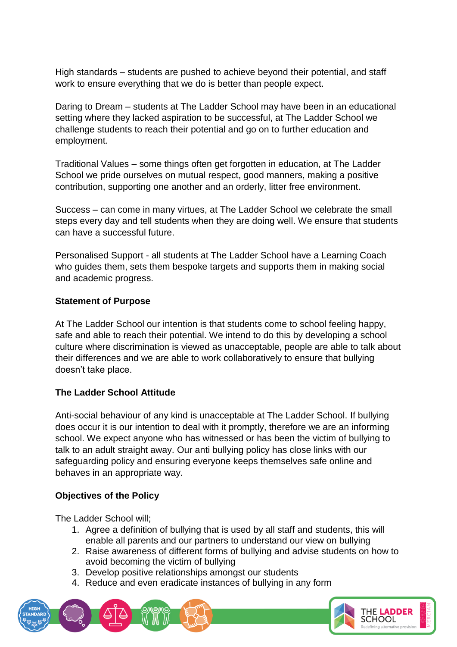High standards – students are pushed to achieve beyond their potential, and staff work to ensure everything that we do is better than people expect.

Daring to Dream – students at The Ladder School may have been in an educational setting where they lacked aspiration to be successful, at The Ladder School we challenge students to reach their potential and go on to further education and employment.

Traditional Values – some things often get forgotten in education, at The Ladder School we pride ourselves on mutual respect, good manners, making a positive contribution, supporting one another and an orderly, litter free environment.

Success – can come in many virtues, at The Ladder School we celebrate the small steps every day and tell students when they are doing well. We ensure that students can have a successful future.

Personalised Support - all students at The Ladder School have a Learning Coach who guides them, sets them bespoke targets and supports them in making social and academic progress.

#### **Statement of Purpose**

At The Ladder School our intention is that students come to school feeling happy, safe and able to reach their potential. We intend to do this by developing a school culture where discrimination is viewed as unacceptable, people are able to talk about their differences and we are able to work collaboratively to ensure that bullying doesn't take place.

# **The Ladder School Attitude**

Anti-social behaviour of any kind is unacceptable at The Ladder School. If bullying does occur it is our intention to deal with it promptly, therefore we are an informing school. We expect anyone who has witnessed or has been the victim of bullying to talk to an adult straight away. Our anti bullying policy has close links with our safeguarding policy and ensuring everyone keeps themselves safe online and behaves in an appropriate way.

# **Objectives of the Policy**

The Ladder School will;

- 1. Agree a definition of bullying that is used by all staff and students, this will enable all parents and our partners to understand our view on bullying
- 2. Raise awareness of different forms of bullying and advise students on how to avoid becoming the victim of bullying
- 3. Develop positive relationships amongst our students
- 4. Reduce and even eradicate instances of bullying in any form

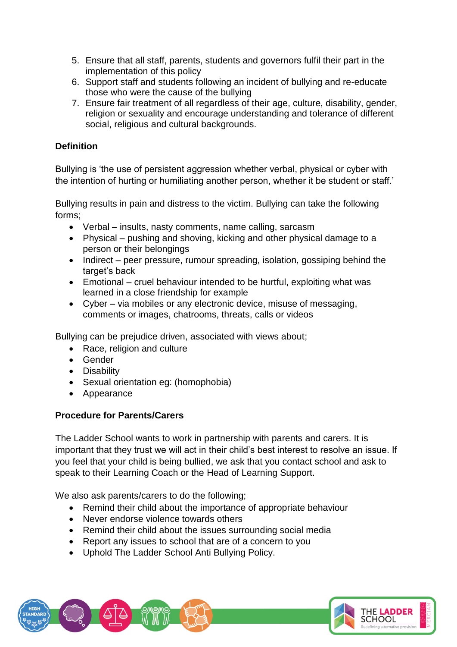- 5. Ensure that all staff, parents, students and governors fulfil their part in the implementation of this policy
- 6. Support staff and students following an incident of bullying and re-educate those who were the cause of the bullying
- 7. Ensure fair treatment of all regardless of their age, culture, disability, gender, religion or sexuality and encourage understanding and tolerance of different social, religious and cultural backgrounds.

# **Definition**

Bullying is 'the use of persistent aggression whether verbal, physical or cyber with the intention of hurting or humiliating another person, whether it be student or staff.'

Bullying results in pain and distress to the victim. Bullying can take the following forms;

- Verbal insults, nasty comments, name calling, sarcasm
- Physical pushing and shoving, kicking and other physical damage to a person or their belongings
- Indirect peer pressure, rumour spreading, isolation, gossiping behind the target's back
- Emotional cruel behaviour intended to be hurtful, exploiting what was learned in a close friendship for example
- Cyber via mobiles or any electronic device, misuse of messaging, comments or images, chatrooms, threats, calls or videos

Bullying can be prejudice driven, associated with views about;

- Race, religion and culture
- Gender
- Disability
- Sexual orientation eg: (homophobia)
- Appearance

# **Procedure for Parents/Carers**

The Ladder School wants to work in partnership with parents and carers. It is important that they trust we will act in their child's best interest to resolve an issue. If you feel that your child is being bullied, we ask that you contact school and ask to speak to their Learning Coach or the Head of Learning Support.

We also ask parents/carers to do the following;

- Remind their child about the importance of appropriate behaviour
- Never endorse violence towards others
- Remind their child about the issues surrounding social media
- Report any issues to school that are of a concern to you
- Uphold The Ladder School Anti Bullying Policy.

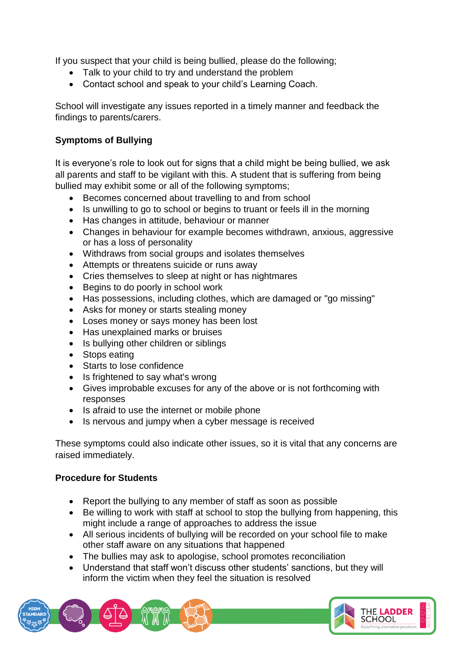If you suspect that your child is being bullied, please do the following;

- Talk to your child to try and understand the problem
- Contact school and speak to your child's Learning Coach.

School will investigate any issues reported in a timely manner and feedback the findings to parents/carers.

# **Symptoms of Bullying**

It is everyone's role to look out for signs that a child might be being bullied, we ask all parents and staff to be vigilant with this. A student that is suffering from being bullied may exhibit some or all of the following symptoms;

- Becomes concerned about travelling to and from school
- Is unwilling to go to school or begins to truant or feels ill in the morning
- Has changes in attitude, behaviour or manner
- Changes in behaviour for example becomes withdrawn, anxious, aggressive or has a loss of personality
- Withdraws from social groups and isolates themselves
- Attempts or threatens suicide or runs away
- Cries themselves to sleep at night or has nightmares
- Begins to do poorly in school work
- Has possessions, including clothes, which are damaged or "go missing"
- Asks for money or starts stealing money
- Loses money or says money has been lost
- Has unexplained marks or bruises
- Is bullying other children or siblings
- Stops eating
- Starts to lose confidence
- Is frightened to say what's wrong
- Gives improbable excuses for any of the above or is not forthcoming with responses
- Is afraid to use the internet or mobile phone
- Is nervous and jumpy when a cyber message is received

These symptoms could also indicate other issues, so it is vital that any concerns are raised immediately.

# **Procedure for Students**

- Report the bullying to any member of staff as soon as possible
- Be willing to work with staff at school to stop the bullying from happening, this might include a range of approaches to address the issue
- All serious incidents of bullying will be recorded on your school file to make other staff aware on any situations that happened
- The bullies may ask to apologise, school promotes reconciliation
- Understand that staff won't discuss other students' sanctions, but they will inform the victim when they feel the situation is resolved

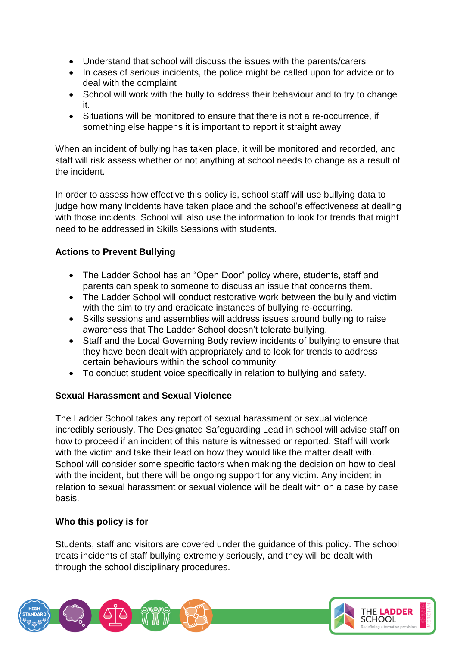- Understand that school will discuss the issues with the parents/carers
- In cases of serious incidents, the police might be called upon for advice or to deal with the complaint
- School will work with the bully to address their behaviour and to try to change it.
- Situations will be monitored to ensure that there is not a re-occurrence, if something else happens it is important to report it straight away

When an incident of bullying has taken place, it will be monitored and recorded, and staff will risk assess whether or not anything at school needs to change as a result of the incident.

In order to assess how effective this policy is, school staff will use bullying data to judge how many incidents have taken place and the school's effectiveness at dealing with those incidents. School will also use the information to look for trends that might need to be addressed in Skills Sessions with students.

# **Actions to Prevent Bullying**

- The Ladder School has an "Open Door" policy where, students, staff and parents can speak to someone to discuss an issue that concerns them.
- The Ladder School will conduct restorative work between the bully and victim with the aim to try and eradicate instances of bullying re-occurring.
- Skills sessions and assemblies will address issues around bullying to raise awareness that The Ladder School doesn't tolerate bullying.
- Staff and the Local Governing Body review incidents of bullying to ensure that they have been dealt with appropriately and to look for trends to address certain behaviours within the school community.
- To conduct student voice specifically in relation to bullying and safety.

# **Sexual Harassment and Sexual Violence**

The Ladder School takes any report of sexual harassment or sexual violence incredibly seriously. The Designated Safeguarding Lead in school will advise staff on how to proceed if an incident of this nature is witnessed or reported. Staff will work with the victim and take their lead on how they would like the matter dealt with. School will consider some specific factors when making the decision on how to deal with the incident, but there will be ongoing support for any victim. Any incident in relation to sexual harassment or sexual violence will be dealt with on a case by case basis.

# **Who this policy is for**

Students, staff and visitors are covered under the guidance of this policy. The school treats incidents of staff bullying extremely seriously, and they will be dealt with through the school disciplinary procedures.